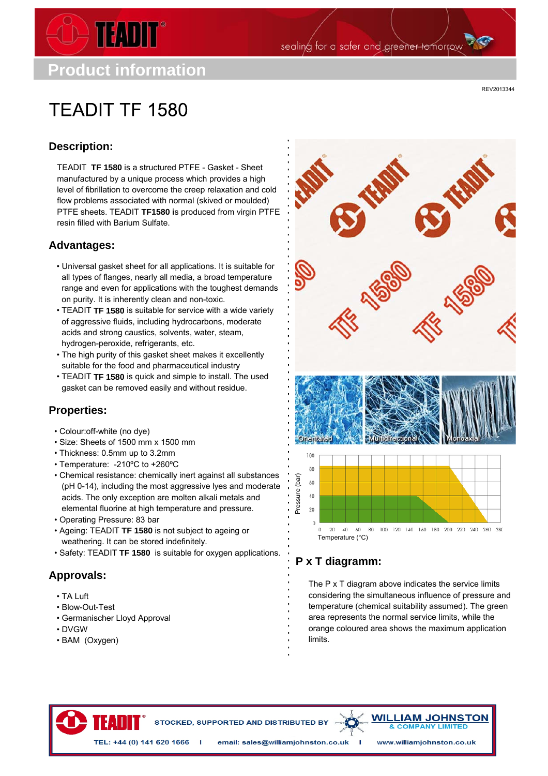

sealing for a safer and greener tomorrow

**TFADIT TF 1580** 

REV2013344

## **Description:**

TEADIT **TF 1580** is a structured PTFE - Gasket - Sheet manufactured by a unique process which provides a high level of fibrillation to overcome the creep relaxation and cold flow problems associated with normal (skived or moulded) PTFE sheets. TEADIT **TF1580 i**s produced from virgin PTFE resin filled with Barium Sulfate.

#### **Advantages:**

- Universal gasket sheet for all applications. It is suitable for all types of flanges, nearly all media, a broad temperature range and even for applications with the toughest demands on purity. It is inherently clean and non-toxic.
- TEADIT **TF 1580** is suitable for service with a wide variety of aggressive fluids, including hydrocarbons, moderate acids and strong caustics, solvents, water, steam, hydrogen-peroxide, refrigerants, etc.
- The high purity of this gasket sheet makes it excellently suitable for the food and pharmaceutical industry
- TEADIT **TF 1580** is quick and simple to install. The used gasket can be removed easily and without residue.

## **Properties:**

- Colour:off-white (no dye)
- Size: Sheets of 1500 mm x 1500 mm
- Thickness: 0.5mm up to 3.2mm
- Temperature: -210ºC to +260ºC
- Chemical resistance: chemically inert against all substances (pH 0-14), including the most aggressive lyes and moderate acids. The only exception are molten alkali metals and elemental fluorine at high temperature and pressure.
- Operating Pressure: 83 bar
- Ageing: TEADIT **TF 1580** is not subject to ageing or weathering. It can be stored indefinitely.
- Safety: TEADIT **TF 1580** is suitable for oxygen applications.

## **Approvals:**

- TA Luft
- Blow-Out-Test
- Germanischer Lloyd Approval

IFA III

- DVGW
- BAM (Oxygen)



# **P x T diagramm:**

- 1

The P x T diagram above indicates the service limits considering the simultaneous influence of pressure and temperature (chemical suitability assumed). The green area represents the normal service limits, while the orange coloured area shows the maximum application limits.

STOCKED, SUPPORTED AND DISTRIBUTED BY

TEL: +44 (0) 141 620 1666 | email: sales@williamjohnston.co.uk

**COMPANY LIMIT** www.williamjohnston.co.uk

**WILLIAM JOHNSTON**